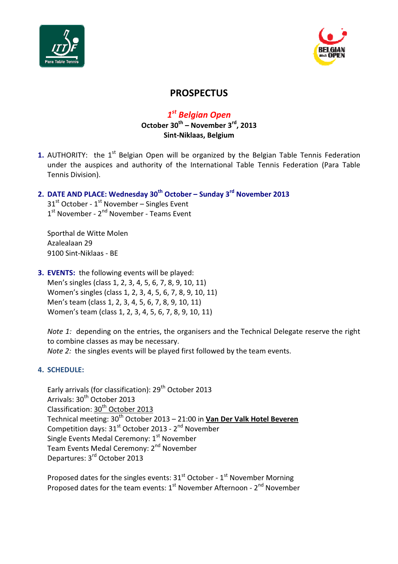



# **PROSPECTUS**

1<sup>st</sup> Belgian Open

October  $30^{th}$  – November  $3^{rd}$ , 2013 Sint-Niklaas, Belgium

1. AUTHORITY: the  $1<sup>st</sup>$  Belgian Open will be organized by the Belgian Table Tennis Federation under the auspices and authority of the International Table Tennis Federation (Para Table Tennis Division).

## 2. DATE AND PLACE: Wednesday  $30<sup>th</sup>$  October – Sunday  $3<sup>rd</sup>$  November 2013

 $31<sup>st</sup>$  October -  $1<sup>st</sup>$  November – Singles Event 1<sup>st</sup> November - 2<sup>nd</sup> November - Teams Event

Sporthal de Witte Molen Azalealaan 29 9100 Sint-Niklaas - BE

3. EVENTS: the following events will be played: Men's singles (class 1, 2, 3, 4, 5, 6, 7, 8, 9, 10, 11) Women's singles (class 1, 2, 3, 4, 5, 6, 7, 8, 9, 10, 11) Men's team (class 1, 2, 3, 4, 5, 6, 7, 8, 9, 10, 11) Women's team (class 1, 2, 3, 4, 5, 6, 7, 8, 9, 10, 11)

Note 1: depending on the entries, the organisers and the Technical Delegate reserve the right to combine classes as may be necessary. Note 2: the singles events will be played first followed by the team events.

## 4. SCHEDULE:

Early arrivals (for classification): 29<sup>th</sup> October 2013 Arrivals: 30<sup>th</sup> October 2013 Classification: 30<sup>th</sup> October 2013 Technical meeting: 30<sup>th</sup> October 2013 – 21:00 in Van Der Valk Hotel Beveren Competition days: 31<sup>st</sup> October 2013 - 2<sup>nd</sup> November Single Events Medal Ceremony: 1<sup>st</sup> November Team Events Medal Ceremony: 2<sup>nd</sup> November Departures: 3rd October 2013

Proposed dates for the singles events:  $31^{st}$  October -  $1^{st}$  November Morning Proposed dates for the team events:  $1<sup>st</sup>$  November Afternoon -  $2<sup>nd</sup>$  November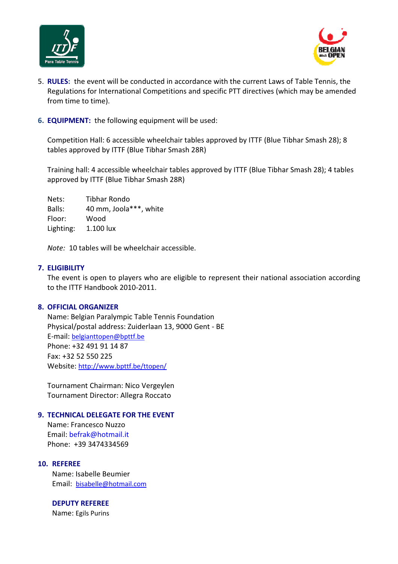



- 5. RULES: the event will be conducted in accordance with the current Laws of Table Tennis, the Regulations for International Competitions and specific PTT directives (which may be amended from time to time).
- 6. EQUIPMENT: the following equipment will be used:

Competition Hall: 6 accessible wheelchair tables approved by ITTF (Blue Tibhar Smash 28); 8 tables approved by ITTF (Blue Tibhar Smash 28R)

Training hall: 4 accessible wheelchair tables approved by ITTF (Blue Tibhar Smash 28); 4 tables approved by ITTF (Blue Tibhar Smash 28R)

Nets: Tibhar Rondo Balls: 40 mm, Joola\*\*\*, white Floor: Wood Lighting: 1.100 lux

Note: 10 tables will be wheelchair accessible.

#### 7. ELIGIBILITY

The event is open to players who are eligible to represent their national association according to the ITTF Handbook 2010-2011.

#### 8. OFFICIAL ORGANIZER

Name: Belgian Paralympic Table Tennis Foundation Physical/postal address: Zuiderlaan 13, 9000 Gent - BE E-mail: belgianttopen@bpttf.be Phone: +32 491 91 14 87 Fax: +32 52 550 225 Website: http://www.bpttf.be/ttopen/

Tournament Chairman: Nico Vergeylen Tournament Director: Allegra Roccato

#### 9. TECHNICAL DELEGATE FOR THE EVENT

Name: Francesco Nuzzo Email: befrak@hotmail.it Phone: +39 3474334569

#### 10. REFEREE

Name: Isabelle Beumier Email: bisabelle@hotmail.com

#### DEPUTY REFEREE

Name: Egils Purins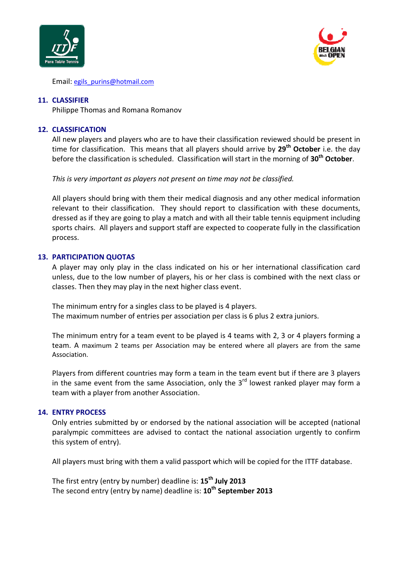



Email: egils\_purins@hotmail.com

#### 11. CLASSIFIER

Philippe Thomas and Romana Romanov

#### 12. CLASSIFICATION

All new players and players who are to have their classification reviewed should be present in time for classification. This means that all players should arrive by  $29<sup>th</sup>$  October i.e. the day before the classification is scheduled. Classification will start in the morning of  $30<sup>th</sup>$  October.

This is very important as players not present on time may not be classified.

All players should bring with them their medical diagnosis and any other medical information relevant to their classification. They should report to classification with these documents, dressed as if they are going to play a match and with all their table tennis equipment including sports chairs. All players and support staff are expected to cooperate fully in the classification process.

#### 13. PARTICIPATION QUOTAS

A player may only play in the class indicated on his or her international classification card unless, due to the low number of players, his or her class is combined with the next class or classes. Then they may play in the next higher class event.

The minimum entry for a singles class to be played is 4 players. The maximum number of entries per association per class is 6 plus 2 extra juniors.

The minimum entry for a team event to be played is 4 teams with 2, 3 or 4 players forming a team. A maximum 2 teams per Association may be entered where all players are from the same Association.

Players from different countries may form a team in the team event but if there are 3 players in the same event from the same Association, only the  $3<sup>rd</sup>$  lowest ranked player may form a team with a player from another Association.

#### 14. ENTRY PROCESS

Only entries submitted by or endorsed by the national association will be accepted (national paralympic committees are advised to contact the national association urgently to confirm this system of entry).

All players must bring with them a valid passport which will be copied for the ITTF database.

The first entry (entry by number) deadline is: 15<sup>th</sup> July 2013 The second entry (entry by name) deadline is: 10<sup>th</sup> September 2013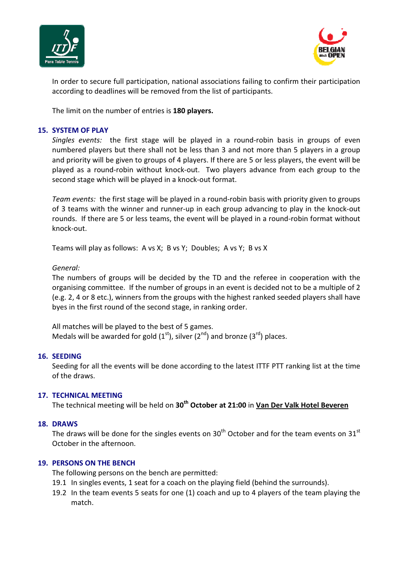



In order to secure full participation, national associations failing to confirm their participation according to deadlines will be removed from the list of participants.

The limit on the number of entries is 180 players.

#### 15. SYSTEM OF PLAY

Singles events: the first stage will be played in a round-robin basis in groups of even numbered players but there shall not be less than 3 and not more than 5 players in a group and priority will be given to groups of 4 players. If there are 5 or less players, the event will be played as a round-robin without knock-out. Two players advance from each group to the second stage which will be played in a knock-out format.

Team events: the first stage will be played in a round-robin basis with priority given to groups of 3 teams with the winner and runner-up in each group advancing to play in the knock-out rounds. If there are 5 or less teams, the event will be played in a round-robin format without knock-out.

Teams will play as follows: A vs X; B vs Y; Doubles; A vs Y; B vs X

#### General:

The numbers of groups will be decided by the TD and the referee in cooperation with the organising committee. If the number of groups in an event is decided not to be a multiple of 2 (e.g. 2, 4 or 8 etc.), winners from the groups with the highest ranked seeded players shall have byes in the first round of the second stage, in ranking order.

All matches will be played to the best of 5 games. Medals will be awarded for gold  $(1<sup>st</sup>)$ , silver  $(2<sup>nd</sup>)$  and bronze  $(3<sup>rd</sup>)$  places.

#### 16. SEEDING

Seeding for all the events will be done according to the latest ITTF PTT ranking list at the time of the draws.

#### 17. TECHNICAL MEETING

The technical meeting will be held on 30<sup>th</sup> October at 21:00 in Van Der Valk Hotel Beveren

#### 18. DRAWS

The draws will be done for the singles events on  $30<sup>th</sup>$  October and for the team events on  $31<sup>st</sup>$ October in the afternoon.

#### 19. PERSONS ON THE BENCH

The following persons on the bench are permitted:

- 19.1 In singles events, 1 seat for a coach on the playing field (behind the surrounds).
- 19.2 In the team events 5 seats for one (1) coach and up to 4 players of the team playing the match.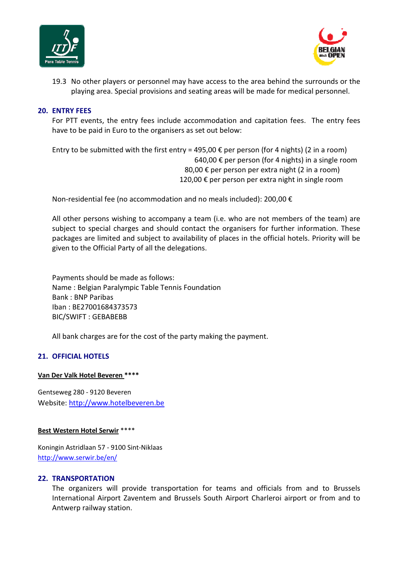



19.3 No other players or personnel may have access to the area behind the surrounds or the playing area. Special provisions and seating areas will be made for medical personnel.

#### 20. ENTRY FEES

For PTT events, the entry fees include accommodation and capitation fees. The entry fees have to be paid in Euro to the organisers as set out below:

Entry to be submitted with the first entry = 495,00  $\epsilon$  per person (for 4 nights) (2 in a room) 640,00 € per person (for 4 nights) in a single room 80,00  $\epsilon$  per person per extra night (2 in a room) 120,00 € per person per extra night in single room

Non-residential fee (no accommodation and no meals included): 200,00  $\epsilon$ 

All other persons wishing to accompany a team (i.e. who are not members of the team) are subject to special charges and should contact the organisers for further information. These packages are limited and subject to availability of places in the official hotels. Priority will be given to the Official Party of all the delegations.

Payments should be made as follows: Name : Belgian Paralympic Table Tennis Foundation Bank : BNP Paribas Iban : BE27001684373573 BIC/SWIFT : GEBABEBB

All bank charges are for the cost of the party making the payment.

## 21. OFFICIAL HOTELS

#### Van Der Valk Hotel Beveren \*\*\*\*

Gentseweg 280 - 9120 Beveren Website: http://www.hotelbeveren.be

#### Best Western Hotel Serwir \*\*\*\*

Koningin Astridlaan 57 - 9100 Sint-Niklaas http://www.serwir.be/en/

#### 22. TRANSPORTATION

The organizers will provide transportation for teams and officials from and to Brussels International Airport Zaventem and Brussels South Airport Charleroi airport or from and to Antwerp railway station.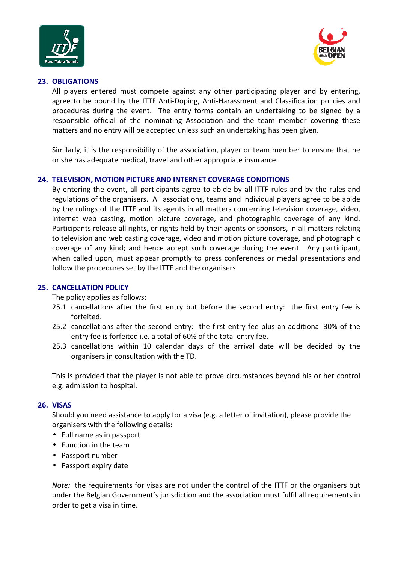



#### 23. OBLIGATIONS

All players entered must compete against any other participating player and by entering, agree to be bound by the ITTF Anti-Doping, Anti-Harassment and Classification policies and procedures during the event. The entry forms contain an undertaking to be signed by a responsible official of the nominating Association and the team member covering these matters and no entry will be accepted unless such an undertaking has been given.

Similarly, it is the responsibility of the association, player or team member to ensure that he or she has adequate medical, travel and other appropriate insurance.

#### 24. TELEVISION, MOTION PICTURE AND INTERNET COVERAGE CONDITIONS

By entering the event, all participants agree to abide by all ITTF rules and by the rules and regulations of the organisers. All associations, teams and individual players agree to be abide by the rulings of the ITTF and its agents in all matters concerning television coverage, video, internet web casting, motion picture coverage, and photographic coverage of any kind. Participants release all rights, or rights held by their agents or sponsors, in all matters relating to television and web casting coverage, video and motion picture coverage, and photographic coverage of any kind; and hence accept such coverage during the event. Any participant, when called upon, must appear promptly to press conferences or medal presentations and follow the procedures set by the ITTF and the organisers.

## 25. CANCELLATION POLICY

The policy applies as follows:

- 25.1 cancellations after the first entry but before the second entry: the first entry fee is forfeited.
- 25.2 cancellations after the second entry: the first entry fee plus an additional 30% of the entry fee is forfeited i.e. a total of 60% of the total entry fee.
- 25.3 cancellations within 10 calendar days of the arrival date will be decided by the organisers in consultation with the TD.

This is provided that the player is not able to prove circumstances beyond his or her control e.g. admission to hospital.

#### 26. VISAS

Should you need assistance to apply for a visa (e.g. a letter of invitation), please provide the organisers with the following details:

- Full name as in passport
- Function in the team
- Passport number
- Passport expiry date

Note: the requirements for visas are not under the control of the ITTF or the organisers but under the Belgian Government's jurisdiction and the association must fulfil all requirements in order to get a visa in time.